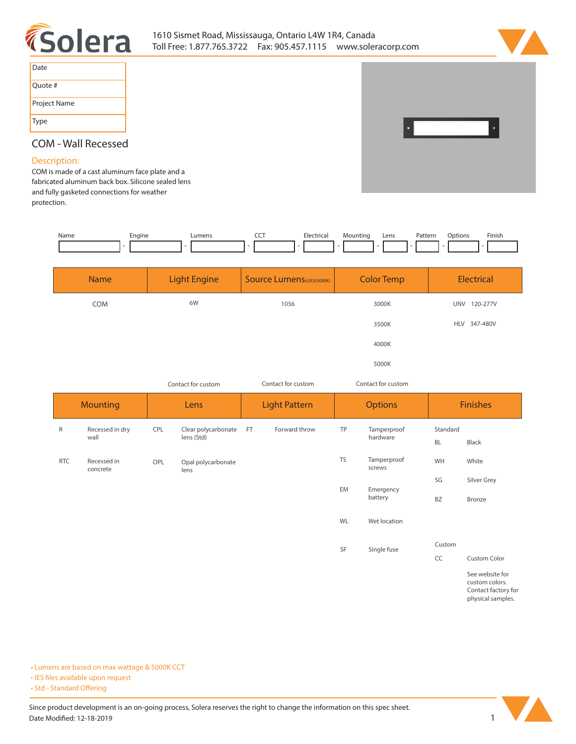



| Date         |
|--------------|
| Quote #      |
| Project Name |
| Type         |



# **COM - Wall Recessed**

# **Description:**

**COM is made of a cast aluminum face plate and a fabricated aluminum back box. Silicone sealed lens and fully gasketed connections for weather protection.** 

| Name | Engine | Lumens | ---<br>$\tilde{}$ | Electrical | Mountina | Lens | Pattern | Options | Finish |  |
|------|--------|--------|-------------------|------------|----------|------|---------|---------|--------|--|
|      |        |        | $\sim$            |            | -        |      |         |         |        |  |
|      |        |        |                   |            |          |      |         |         |        |  |
|      |        |        |                   |            |          |      |         |         |        |  |
|      |        |        |                   |            |          |      |         |         |        |  |

| <b>Name</b> | <b>Light Engine</b> | Source Lumens(LED)(5000K) | <b>Color Temp</b> | Electrical             |  |
|-------------|---------------------|---------------------------|-------------------|------------------------|--|
| <b>COM</b>  | 6W                  | 1056                      | 3000K             | <b>UNV</b><br>120-277V |  |
|             |                     |                           | 3500K             | HLV 347-480V           |  |
|             |                     |                           | 4000K             |                        |  |
|             |                     |                           | 5000K             |                        |  |

| Contact for custom |                         |      |                                   | Contact for custom   |                | Contact for custom |                         |                       |                 |
|--------------------|-------------------------|------|-----------------------------------|----------------------|----------------|--------------------|-------------------------|-----------------------|-----------------|
| <b>Mounting</b>    |                         | Lens |                                   | <b>Light Pattern</b> | <b>Options</b> |                    | <b>Finishes</b>         |                       |                 |
| $\mathsf{R}$       | Recessed in dry<br>wall | CPL  | Clear polycarbonate<br>lens (Std) | FT.                  | Forward throw  | TP                 | Tamperproof<br>hardware | Standard<br><b>BL</b> | Black           |
| <b>RTC</b>         | Recessed in<br>concrete | OPL  | Opal polycarbonate<br>lens        |                      |                | <b>TS</b>          | Tamperproof<br>screws   | WH                    | White           |
|                    |                         |      |                                   |                      |                | EM                 | Emergency               | SG                    | Silver Grey     |
|                    |                         |      |                                   |                      |                |                    | battery                 | <b>BZ</b>             | Bronze          |
|                    |                         |      |                                   |                      |                | WL                 | Wet location            |                       |                 |
|                    |                         |      |                                   |                      |                | SF                 | Single fuse             | Custom                |                 |
|                    |                         |      |                                   |                      |                |                    |                         | CC                    | Custom Color    |
|                    |                         |      |                                   |                      |                |                    |                         |                       | See website for |

**custom colors. Contact factory for physical samples.** 

**• Lumens are based on max wattage & 5000K CCT**

**• IES files available upon request** 

• Std - Standard Offering

Since product development is an on-going process, Solera reserves the right to change the information on this spec sheet. **Date Modified: 12-18-2019** 1